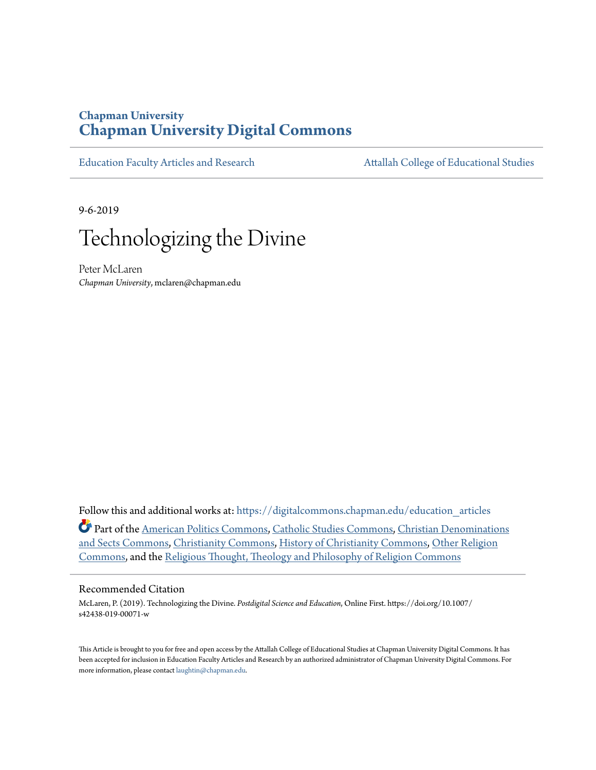# **Chapman University [Chapman University Digital Commons](https://digitalcommons.chapman.edu/?utm_source=digitalcommons.chapman.edu%2Feducation_articles%2F241&utm_medium=PDF&utm_campaign=PDFCoverPages)**

[Education Faculty Articles and Research](https://digitalcommons.chapman.edu/education_articles?utm_source=digitalcommons.chapman.edu%2Feducation_articles%2F241&utm_medium=PDF&utm_campaign=PDFCoverPages) [Attallah College of Educational Studies](https://digitalcommons.chapman.edu/ces?utm_source=digitalcommons.chapman.edu%2Feducation_articles%2F241&utm_medium=PDF&utm_campaign=PDFCoverPages)

9-6-2019



Peter McLaren *Chapman University*, mclaren@chapman.edu

Follow this and additional works at: [https://digitalcommons.chapman.edu/education\\_articles](https://digitalcommons.chapman.edu/education_articles?utm_source=digitalcommons.chapman.edu%2Feducation_articles%2F241&utm_medium=PDF&utm_campaign=PDFCoverPages) Part of the [American Politics Commons](http://network.bepress.com/hgg/discipline/387?utm_source=digitalcommons.chapman.edu%2Feducation_articles%2F241&utm_medium=PDF&utm_campaign=PDFCoverPages), [Catholic Studies Commons,](http://network.bepress.com/hgg/discipline/1294?utm_source=digitalcommons.chapman.edu%2Feducation_articles%2F241&utm_medium=PDF&utm_campaign=PDFCoverPages) [Christian Denominations](http://network.bepress.com/hgg/discipline/1184?utm_source=digitalcommons.chapman.edu%2Feducation_articles%2F241&utm_medium=PDF&utm_campaign=PDFCoverPages) [and Sects Commons](http://network.bepress.com/hgg/discipline/1184?utm_source=digitalcommons.chapman.edu%2Feducation_articles%2F241&utm_medium=PDF&utm_campaign=PDFCoverPages), [Christianity Commons](http://network.bepress.com/hgg/discipline/1181?utm_source=digitalcommons.chapman.edu%2Feducation_articles%2F241&utm_medium=PDF&utm_campaign=PDFCoverPages), [History of Christianity Commons](http://network.bepress.com/hgg/discipline/1182?utm_source=digitalcommons.chapman.edu%2Feducation_articles%2F241&utm_medium=PDF&utm_campaign=PDFCoverPages), [Other Religion](http://network.bepress.com/hgg/discipline/545?utm_source=digitalcommons.chapman.edu%2Feducation_articles%2F241&utm_medium=PDF&utm_campaign=PDFCoverPages) [Commons,](http://network.bepress.com/hgg/discipline/545?utm_source=digitalcommons.chapman.edu%2Feducation_articles%2F241&utm_medium=PDF&utm_campaign=PDFCoverPages) and the [Religious Thought, Theology and Philosophy of Religion Commons](http://network.bepress.com/hgg/discipline/544?utm_source=digitalcommons.chapman.edu%2Feducation_articles%2F241&utm_medium=PDF&utm_campaign=PDFCoverPages)

#### Recommended Citation

McLaren, P. (2019). Technologizing the Divine. *Postdigital Science and Education*, Online First. https://doi.org/10.1007/ s42438-019-00071-w

This Article is brought to you for free and open access by the Attallah College of Educational Studies at Chapman University Digital Commons. It has been accepted for inclusion in Education Faculty Articles and Research by an authorized administrator of Chapman University Digital Commons. For more information, please contact [laughtin@chapman.edu](mailto:laughtin@chapman.edu).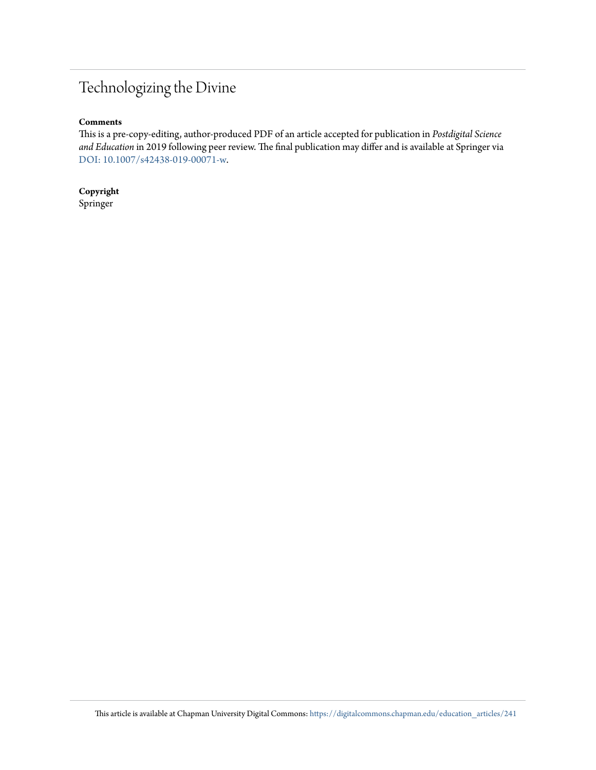# Technologizing the Divine

#### **Comments**

This is a pre-copy-editing, author-produced PDF of an article accepted for publication in *Postdigital Science and Education* in 2019 following peer review. The final publication may differ and is available at Springer via [DOI: 10.1007/s42438-019-00071-w.](https://doi.org/10.1007/s42438-019-00071-w)

**Copyright** Springer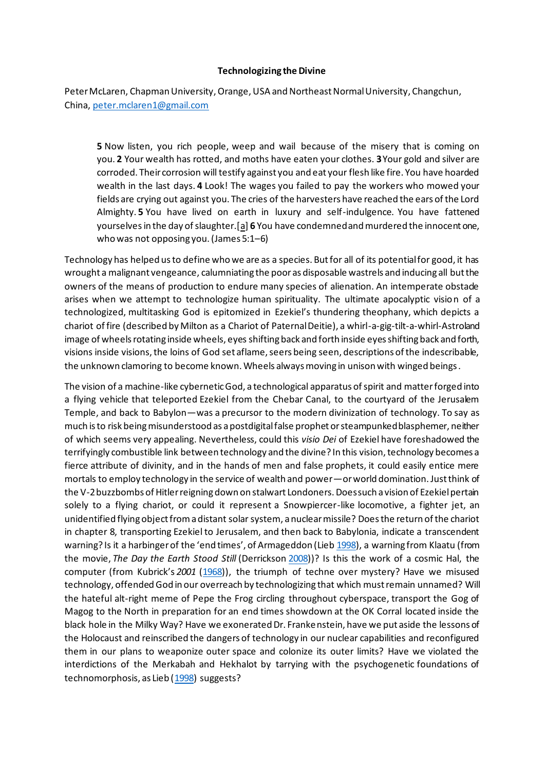#### **Technologizing the Divine**

Peter McLaren, Chapman University, Orange, USA and Northeast Normal University, Changchun, China, [peter.mclaren1@gmail.com](mailto:peter.mclaren1@gmail.com)

**5** Now listen, you rich people, weep and wail because of the misery that is coming on you. **2** Your wealth has rotted, and moths have eaten your clothes. **3**Your gold and silver are corroded. Their corrosion will testify against you and eat your flesh like fire. You have hoarded wealth in the last days. **4** Look! The wages you failed to pay the workers who mowed your fields are crying out against you. The cries of the harvesters have reached the ears of the Lord Almighty. **5** You have lived on earth in luxury and self-indulgence. You have fattened yourselves in the day of slaughter.[a] **6** You have condemned and murdered the innocent one, who was not opposing you. (James 5:1–6)

Technology has helped us to define who we are as a species. But for all of its potential for good, it has wrought a malignant vengeance, calumniating the poor as disposable wastrels and inducing all but the owners of the means of production to endure many species of alienation. An intemperate obstade arises when we attempt to technologize human spirituality. The ultimate apocalyptic vision of a technologized, multitasking God is epitomized in Ezekiel's thundering theophany, which depicts a chariot of fire (described by Milton as a Chariot of Paternal Deitie), a whirl-a-gig-tilt-a-whirl-Astroland image of wheels rotating inside wheels, eyesshifting back and forth inside eyes shifting back and forth, visions inside visions, the loins of God set aflame, seers being seen, descriptions of the indescribable, the unknown clamoring to become known. Wheels always moving in unison with winged beings.

The vision of a machine-like cybernetic God, a technological apparatus of spirit and matter forged into a flying vehicle that teleported Ezekiel from the Chebar Canal, to the courtyard of the Jerusalem Temple, and back to Babylon—was a precursor to the modern divinization of technology. To say as much is to risk being misunderstood as a postdigital false prophet or steampunked blasphemer, neither of which seems very appealing. Nevertheless, could this *visio Dei* of Ezekiel have foreshadowed the terrifyingly combustible link between technology and the divine? In this vision, technology becomes a fierce attribute of divinity, and in the hands of men and false prophets, it could easily entice mere mortals to employ technology in the service of wealth and power—or world domination. Just think of the V-2 buzzbombs of Hitler reigning down on stalwart Londoners. Does such a vision of Ezekiel pertain solely to a flying chariot, or could it represent a Snowpiercer-like locomotive, a fighter jet, an unidentified flying object from a distant solar system, a nuclear missile? Does the return of the chariot in chapter 8, transporting Ezekiel to Jerusalem, and then back to Babylonia, indicate a transcendent warning? Is it a harbinger of the 'end times', of Armageddon (Lieb [1998\)](https://link.springer.com/article/10.1007/s42438-019-00071-w#CR6), a warning from Klaatu (from the movie, *The Day the Earth Stood Still* (Derrickson [2008\)](https://link.springer.com/article/10.1007/s42438-019-00071-w#CR3))? Is this the work of a cosmic Hal, the computer (from Kubrick's *2001* [\(1968\)](https://link.springer.com/article/10.1007/s42438-019-00071-w#CR5)), the triumph of techne over mystery? Have we misused technology, offended God in our overreach by technologizing that which must remain unnamed? Will the hateful alt-right meme of Pepe the Frog circling throughout cyberspace, transport the Gog of Magog to the North in preparation for an end times showdown at the OK Corral located inside the black hole in the Milky Way? Have we exonerated Dr. Frankenstein, have we put aside the lessons of the Holocaust and reinscribed the dangers of technology in our nuclear capabilities and reconfigured them in our plans to weaponize outer space and colonize its outer limits? Have we violated the interdictions of the Merkabah and Hekhalot by tarrying with the psychogenetic foundations of technomorphosis, as Lieb [\(1998\)](https://link.springer.com/article/10.1007/s42438-019-00071-w#CR6) suggests?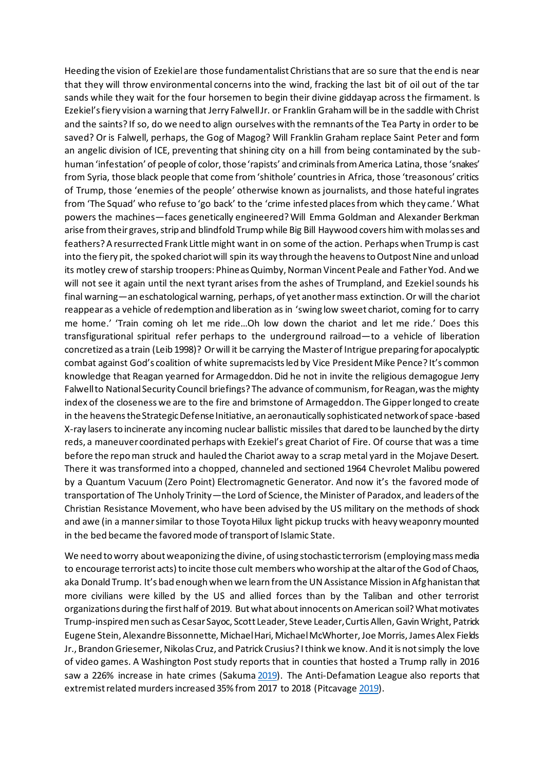Heeding the vision of Ezekiel are those fundamentalist Christians that are so sure that the end is near that they will throw environmental concerns into the wind, fracking the last bit of oil out of the tar sands while they wait for the four horsemen to begin their divine giddayap across the firmament. Is Ezekiel's fiery vision a warning that Jerry Falwell Jr. or Franklin Graham will be in the saddle with Christ and the saints? If so, do we need to align ourselves with the remnants of the Tea Party in order to be saved? Or is Falwell, perhaps, the Gog of Magog? Will Franklin Graham replace Saint Peter and form an angelic division of ICE, preventing that shining city on a hill from being contaminated by the subhuman 'infestation' of people of color, those 'rapists' and criminals from America Latina, those 'snakes' from Syria, those black people that come from 'shithole' countries in Africa, those 'treasonous' critics of Trump, those 'enemies of the people' otherwise known as journalists, and those hateful ingrates from 'The Squad' who refuse to 'go back' to the 'crime infested places from which they came.' What powers the machines—faces genetically engineered? Will Emma Goldman and Alexander Berkman arise from their graves, strip and blindfold Trump while Big Bill Haywood covers him with molasses and feathers? A resurrected Frank Little might want in on some of the action. Perhaps when Trump is cast into the fiery pit, the spoked chariot will spin its way through the heavens to Outpost Nine and unload its motley crew of starship troopers: Phineas Quimby, Norman Vincent Peale and Father Yod. And we will not see it again until the next tyrant arises from the ashes of Trumpland, and Ezekiel sounds his final warning—an eschatological warning, perhaps, of yet another mass extinction. Or will the chariot reappear as a vehicle of redemption and liberation as in 'swing low sweet chariot, coming for to carry me home.' 'Train coming oh let me ride…Oh low down the chariot and let me ride.' Does this transfigurational spiritual refer perhaps to the underground railroad—to a vehicle of liberation concretized as a train (Leib 1998)? Or will it be carrying the Master of Intrigue preparing for apocalyptic combat against God's coalition of white supremacists led by Vice President Mike Pence? It's common knowledge that Reagan yearned for Armageddon. Did he not in invite the religious demagogue Jerry Falwell to National Security Council briefings? The advance of communism, for Reagan, was the mighty index of the closeness we are to the fire and brimstone of Armageddon. The Gipper longed to create in the heavens the Strategic Defense Initiative, an aeronautically sophisticated network of space -based X-ray lasers to incinerate any incoming nuclear ballistic missiles that dared to be launched by the dirty reds, a maneuver coordinated perhaps with Ezekiel's great Chariot of Fire. Of course that was a time before the repo man struck and hauled the Chariot away to a scrap metal yard in the Mojave Desert. There it was transformed into a chopped, channeled and sectioned 1964 Chevrolet Malibu powered by a Quantum Vacuum (Zero Point) Electromagnetic Generator. And now it's the favored mode of transportation of The Unholy Trinity—the Lord of Science, the Minister of Paradox, and leaders of the Christian Resistance Movement, who have been advised by the US military on the methods of shock and awe (in a manner similar to those Toyota Hilux light pickup trucks with heavy weaponry mounted in the bed became the favored mode of transport of Islamic State.

We need to worry about weaponizing the divine, of using stochastic terrorism (employing mass media to encourage terrorist acts) to incite those cult members who worship at the altar of the God of Chaos, aka Donald Trump. It's bad enough when we learn from the UN Assistance Mission in Afghanistan that more civilians were killed by the US and allied forces than by the Taliban and other terrorist organizations during the first half of 2019. But what about innocents on American soil? What motivates Trump-inspired men such as Cesar Sayoc, Scott Leader, Steve Leader, Curtis Allen, Gavin Wright, Patrick Eugene Stein, Alexandre Bissonnette, Michael Hari, Michael McWhorter, Joe Morris, James Alex Fields Jr., Brandon Griesemer, Nikolas Cruz, and Patrick Crusius? I think we know. And it is not simply the love of video games. A Washington Post study reports that in counties that hosted a Trump rally in 2016 saw a 226% increase in hate crimes (Sakuma [2019\)](https://link.springer.com/article/10.1007/s42438-019-00071-w#CR16). The Anti-Defamation League also reports that extremist related murders increased 35% from 2017 to 2018 (Pitcavage [2019\)](https://link.springer.com/article/10.1007/s42438-019-00071-w#CR14).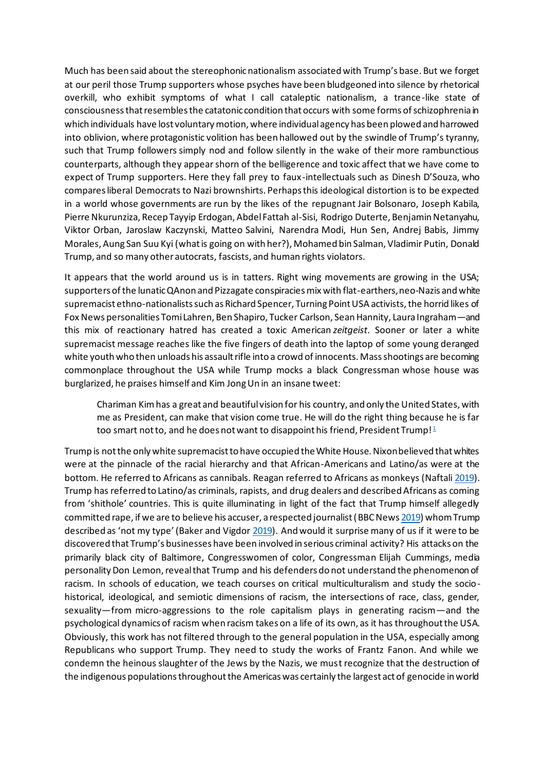Much has been said about the stereophonic nationalism associated with Trump's base. But we forget at our peril those Trump supporters whose psyches have been bludgeoned into silence by rhetorical overkill, who exhibit symptoms of what I call cataleptic nationalism, a trance-like state of consciousness that resembles the catatonic condition that occurs with some forms of schizophrenia in which individuals have lost voluntary motion, where individual agency has been plowed and harrowed into oblivion, where protagonistic volition has been hallowed out by the swindle of Trump's tyranny, such that Trump followers simply nod and follow silently in the wake of their more rambunctious counterparts, although they appear shorn of the belligerence and toxic affect that we have come to expect of Trump supporters. Here they fall prey to faux-intellectuals such as Dinesh D'Souza, who compares liberal Democrats to Nazi brownshirts. Perhaps this ideological distortion is to be expected in a world whose governments are run by the likes of the repugnant Jair Bolsonaro, Joseph Kabila, Pierre Nkurunziza, Recep Tayyip Erdogan, Abdel Fattah al-Sisi, Rodrigo Duterte, Benjamin Netanyahu, Viktor Orban, Jaroslaw Kaczynski, Matteo Salvini, Narendra Modi, Hun Sen, Andrej Babis, Jimmy Morales, Aung San Suu Kyi (what is going on with her?), Mohamed bin Salman, Vladimir Putin, Donald Trump, and so many other autocrats, fascists, and human rights violators.

It appears that the world around us is in tatters. Right wing movements are growing in the USA; supporters of the lunatic QAnon and Pizzagate conspiracies mix with flat-earthers, neo-Nazis and white supremacist ethno-nationalists such as Richard Spencer, Turning Point USA activists, the horrid likes of Fox News personalities Tomi Lahren, Ben Shapiro, Tucker Carlson, Sean Hannity, Laura Ingraham—and this mix of reactionary hatred has created a toxic American *zeitgeist*. Sooner or later a white supremacist message reaches like the five fingers of death into the laptop of some young deranged white youth who then unloads his assault rifle into a crowd of innocents. Mass shootings are becoming commonplace throughout the USA while Trump mocks a black Congressman whose house was burglarized, he praises himself and Kim Jong Un in an insane tweet:

Chariman Kim has a great and beautiful vision for his country, and only the United States, with me as President, can make that vision come true. He will do the right thing because he is far too smart not to, and he does not want to disappoint his friend, President Trump[!](https://link.springer.com/article/10.1007/s42438-019-00071-w#Fn1) $\frac{1}{2}$ 

Trump is not the only white supremacist to have occupied the White House. Nixon believed that whites were at the pinnacle of the racial hierarchy and that African-Americans and Latino/as were at the bottom. He referred to Africans as cannibals. Reagan referred to Africans as monkeys (Naftali [2019\)](https://link.springer.com/article/10.1007/s42438-019-00071-w#CR12). Trump has referred to Latino/as criminals, rapists, and drug dealers and described Africans as coming from 'shithole' countries. This is quite illuminating in light of the fact that Trump himself allegedly committed rape, if we are to believe his accuser, a respected journalist (BBC News [2019\)](https://link.springer.com/article/10.1007/s42438-019-00071-w#CR2) whom Trump described as 'not my type' (Baker and Vigdor [2019\)](https://link.springer.com/article/10.1007/s42438-019-00071-w#CR1). And would it surprise many of us if it were to be discovered that Trump's businesses have been involved in serious criminal activity? His attacks on the primarily black city of Baltimore, Congresswomen of color, Congressman Elijah Cummings, media personality Don Lemon, reveal that Trump and his defenders do not understand the phenomenon of racism. In schools of education, we teach courses on critical multiculturalism and study the sociohistorical, ideological, and semiotic dimensions of racism, the intersections of race, class, gender, sexuality—from micro-aggressions to the role capitalism plays in generating racism—and the psychological dynamics of racism when racism takes on a life of its own, as it has throughout the USA. Obviously, this work has not filtered through to the general population in the USA, especially among Republicans who support Trump. They need to study the works of Frantz Fanon. And while we condemn the heinous slaughter of the Jews by the Nazis, we must recognize that the destruction of the indigenous populations throughout the Americas was certainly the largest act of genocide in world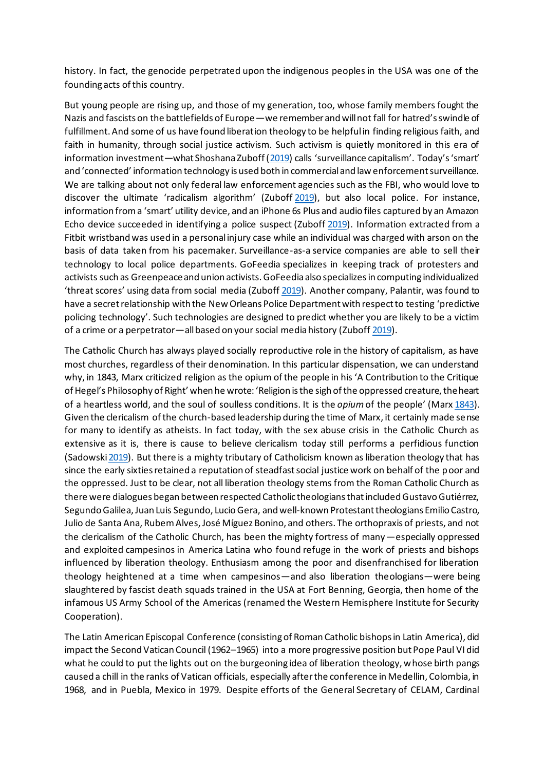history. In fact, the genocide perpetrated upon the indigenous peoples in the USA was one of the founding acts of this country.

But young people are rising up, and those of my generation, too, whose family members fought the Nazis and fascists on the battlefields of Europe—we remember and will not fall for hatred's swindle of fulfillment. And some of us have found liberation theology to be helpful in finding religious faith, and faith in humanity, through social justice activism. Such activism is quietly monitored in this era of information investment—what Shoshana Zuboff [\(2019](https://link.springer.com/article/10.1007/s42438-019-00071-w#CR21)) calls 'surveillance capitalism'. Today's 'smart' and 'connected' information technology is used both in commercial and law enforcement surveillance. We are talking about not only federal law enforcement agencies such as the FBI, who would love to discover the ultimate 'radicalism algorithm' (Zuboff [2019\)](https://link.springer.com/article/10.1007/s42438-019-00071-w#CR21), but also local police. For instance, information from a 'smart' utility device, and an iPhone 6s Plus and audio files captured by an Amazon Echo device succeeded in identifying a police suspect (Zuboff [2019\)](https://link.springer.com/article/10.1007/s42438-019-00071-w#CR21). Information extracted from a Fitbit wristband was used in a personal injury case while an individual was charged with arson on the basis of data taken from his pacemaker. Surveillance-as-a service companies are able to sell their technology to local police departments. GoFeedia specializes in keeping track of protesters and activists such as Greenpeace and union activists. GoFeedia also specializes in computing individualized 'threat scores' using data from social media (Zuboff [2019\)](https://link.springer.com/article/10.1007/s42438-019-00071-w#CR21). Another company, Palantir, was found to have a secret relationship with the New Orleans Police Department with respect to testing 'predictive policing technology'. Such technologies are designed to predict whether you are likely to be a victim of a crime or a perpetrator—all based on your social media history (Zuboff [2019\)](https://link.springer.com/article/10.1007/s42438-019-00071-w#CR21).

The Catholic Church has always played socially reproductive role in the history of capitalism, as have most churches, regardless of their denomination. In this particular dispensation, we can understand why, in 1843, Marx criticized religion as the opium of the people in his 'A Contribution to the Critique of Hegel's Philosophy of Right' when he wrote: 'Religion is the sigh of the oppressed creature, the heart of a heartless world, and the soul of soulless conditions. It is the *opium*of the people' (Marx [1843\)](https://link.springer.com/article/10.1007/s42438-019-00071-w#CR7). Given the clericalism of the church-based leadership during the time of Marx, it certainly made sense for many to identify as atheists. In fact today, with the sex abuse crisis in the Catholic Church as extensive as it is, there is cause to believe clericalism today still performs a perfidious function (Sadowsk[i2019\)](https://link.springer.com/article/10.1007/s42438-019-00071-w#CR18). But there is a mighty tributary of Catholicism known as liberation theology that has since the early sixties retained a reputation of steadfast social justice work on behalf of the poor and the oppressed. Just to be clear, not all liberation theology stems from the Roman Catholic Church as there were dialogues began between respected Catholic theologians that included Gustavo Gutiérrez, Segundo Galilea, Juan Luis Segundo, Lucio Gera, and well-known Protestant theologians Emilio Castro, Julio de Santa Ana, Rubem Alves, José Míguez Bonino, and others. The orthopraxis of priests, and not the clericalism of the Catholic Church, has been the mighty fortress of many—especially oppressed and exploited campesinos in America Latina who found refuge in the work of priests and bishops influenced by liberation theology. Enthusiasm among the poor and disenfranchised for liberation theology heightened at a time when campesinos—and also liberation theologians—were being slaughtered by fascist death squads trained in the USA at Fort Benning, Georgia, then home of the infamous US Army School of the Americas (renamed the Western Hemisphere Institute for Security Cooperation).

The Latin American Episcopal Conference (consisting of Roman Catholic bishops in Latin America), did impact the Second Vatican Council (1962–1965) into a more progressive position but Pope Paul VI did what he could to put the lights out on the burgeoning idea of liberation theology, whose birth pangs caused a chill in the ranks of Vatican officials, especially after the conference in Medellin, Colombia, in 1968, and in Puebla, Mexico in 1979. Despite efforts of the General Secretary of CELAM, Cardinal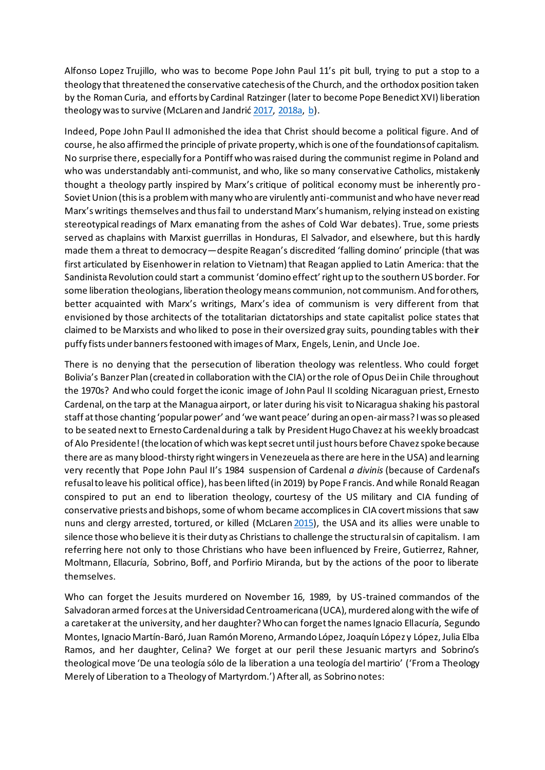Alfonso Lopez Trujillo, who was to become Pope John Paul 11's pit bull, trying to put a stop to a theology that threatened the conservative catechesis of the Church, and the orthodox position taken by the Roman Curia, and efforts by Cardinal Ratzinger (later to become Pope Benedict XVI) liberation theology was to survive (McLaren and Jandrić [2017,](https://link.springer.com/article/10.1007/s42438-019-00071-w#CR9) [2018a,](https://link.springer.com/article/10.1007/s42438-019-00071-w#CR10) [b\)](https://link.springer.com/article/10.1007/s42438-019-00071-w#CR11).

Indeed, Pope John Paul II admonished the idea that Christ should become a political figure. And of course, he also affirmed the principle of private property, which is one of the foundations of capitalism. No surprise there, especially for a Pontiff who was raised during the communist regime in Poland and who was understandably anti-communist, and who, like so many conservative Catholics, mistakenly thought a theology partly inspired by Marx's critique of political economy must be inherently pro-Soviet Union (this is a problem with many who are virulently anti-communist and who have never read Marx's writings themselves and thus fail to understand Marx's humanism, relying instead on existing stereotypical readings of Marx emanating from the ashes of Cold War debates). True, some priests served as chaplains with Marxist guerrillas in Honduras, El Salvador, and elsewhere, but this hardly made them a threat to democracy—despite Reagan's discredited 'falling domino' principle (that was first articulated by Eisenhower in relation to Vietnam) that Reagan applied to Latin America: that the Sandinista Revolution could start a communist 'domino effect' right up to the southern US border. For some liberation theologians, liberation theology means communion, not communism. And for others, better acquainted with Marx's writings, Marx's idea of communism is very different from that envisioned by those architects of the totalitarian dictatorships and state capitalist police states that claimed to be Marxists and who liked to pose in their oversized gray suits, pounding tables with their puffy fists under banners festooned with images of Marx, Engels, Lenin, and Uncle Joe.

There is no denying that the persecution of liberation theology was relentless. Who could forget Bolivia's Banzer Plan (created in collaboration with the CIA) or the role of Opus Dei in Chile throughout the 1970s? And who could forget the iconic image of John Paul II scolding Nicaraguan priest, Ernesto Cardenal, on the tarp at the Managua airport, or later during his visit to Nicaragua shaking his pastoral staff at those chanting 'popular power' and 'we want peace' during an open-air mass? I was so pleased to be seated next to Ernesto Cardenal during a talk by President Hugo Chavez at his weekly broadcast of Alo Presidente! (the location of which was kept secret until just hours before Chavez spoke because there are as many blood-thirsty right wingers in Venezeuela as there are here in the USA) and learning very recently that Pope John Paul II's 1984 suspension of Cardenal *a divinis* (because of Cardenal's refusal to leave his political office), has been lifted (in 2019) by Pope Francis. And while Ronald Reagan conspired to put an end to liberation theology, courtesy of the US military and CIA funding of conservative priests and bishops, some of whom became accomplices in CIA covert missions that saw nuns and clergy arrested, tortured, or killed (McLaren [2015\)](https://link.springer.com/article/10.1007/s42438-019-00071-w#CR8), the USA and its allies were unable to silence those who believe it is their duty as Christians to challenge the structural sin of capitalism. I am referring here not only to those Christians who have been influenced by Freire, Gutierrez, Rahner, Moltmann, Ellacuría, Sobrino, Boff, and Porfirio Miranda, but by the actions of the poor to liberate themselves.

Who can forget the Jesuits murdered on November 16, 1989, by US-trained commandos of the Salvadoran armed forces at the Universidad Centroamericana (UCA), murdered along with the wife of a caretaker at the university, and her daughter? Who can forget the names Ignacio Ellacuría, Segundo Montes, Ignacio Martín-Baró, Juan Ramón Moreno, Armando López, Joaquín López y López, Julia Elba Ramos, and her daughter, Celina? We forget at our peril these Jesuanic martyrs and Sobrino's theological move 'De una teología sólo de la liberation a una teología del martirio' ('From a Theology Merely of Liberation to a Theology of Martyrdom.') After all, as Sobrino notes: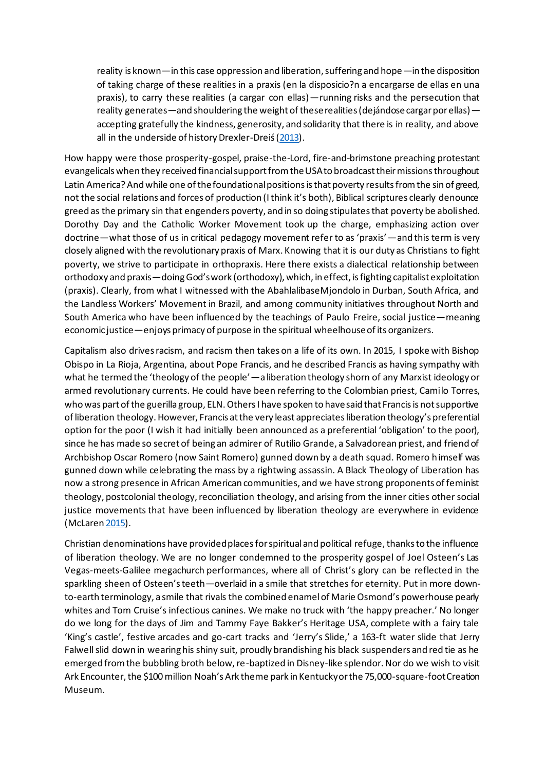reality is known—in this case oppression and liberation, suffering and hope—in the disposition of taking charge of these realities in a praxis (en la disposicio?n a encargarse de ellas en una praxis), to carry these realities (a cargar con ellas)—running risks and the persecution that reality generates—and shouldering the weight of these realities (dejándose cargar por ellas) accepting gratefully the kindness, generosity, and solidarity that there is in reality, and above all in the underside of history Drexler-Dreiś ([2013\)](https://link.springer.com/article/10.1007/s42438-019-00071-w#CR4).

How happy were those prosperity-gospel, praise-the-Lord, fire-and-brimstone preaching protestant evangelicals when they received financial support from the USA to broadcast their missions throughout Latin America? And while one of the foundational positions is that poverty results from the sin of greed, not the social relations and forces of production (I think it's both), Biblical scriptures clearly denounce greed as the primary sin that engenders poverty, and in so doing stipulates that poverty be abolished. Dorothy Day and the Catholic Worker Movement took up the charge, emphasizing action over doctrine—what those of us in critical pedagogy movement refer to as 'praxis'—and this term is very closely aligned with the revolutionary praxis of Marx. Knowing that it is our duty as Christians to fight poverty, we strive to participate in orthopraxis. Here there exists a dialectical relationship between orthodoxy and praxis—doing God's work (orthodoxy), which, in effect, is fighting capitalist exploitation (praxis). Clearly, from what I witnessed with the AbahlalibaseMjondolo in Durban, South Africa, and the Landless Workers' Movement in Brazil, and among community initiatives throughout North and South America who have been influenced by the teachings of Paulo Freire, social justice—meaning economic justice—enjoys primacy of purpose in the spiritual wheelhouse of its organizers.

Capitalism also drives racism, and racism then takes on a life of its own. In 2015, I spoke with Bishop Obispo in La Rioja, Argentina, about Pope Francis, and he described Francis as having sympathy with what he termed the 'theology of the people'—a liberation theology shorn of any Marxist ideology or armed revolutionary currents. He could have been referring to the Colombian priest, Camilo Torres, who was part of the guerilla group, ELN. Others I have spoken to have said that Francis is not supportive of liberation theology. However, Francis at the very least appreciates liberation theology's preferential option for the poor (I wish it had initially been announced as a preferential 'obligation' to the poor), since he has made so secret of being an admirer of Rutilio Grande, a Salvadorean priest, and friend of Archbishop Oscar Romero (now Saint Romero) gunned down by a death squad. Romero himself was gunned down while celebrating the mass by a rightwing assassin. A Black Theology of Liberation has now a strong presence in African American communities, and we have strong proponents of feminist theology, postcolonial theology, reconciliation theology, and arising from the inner cities other social justice movements that have been influenced by liberation theology are everywhere in evidence (McLaren [2015\)](https://link.springer.com/article/10.1007/s42438-019-00071-w#CR8).

Christian denominations have provided places for spiritual and political refuge, thanks to the influence of liberation theology. We are no longer condemned to the prosperity gospel of Joel Osteen's Las Vegas-meets-Galilee megachurch performances, where all of Christ's glory can be reflected in the sparkling sheen of Osteen's teeth—overlaid in a smile that stretches for eternity. Put in more downto-earth terminology, a smile that rivals the combined enamel of Marie Osmond's powerhouse pearly whites and Tom Cruise's infectious canines. We make no truck with 'the happy preacher.' No longer do we long for the days of Jim and Tammy Faye Bakker's Heritage USA, complete with a fairy tale 'King's castle', festive arcades and go-cart tracks and 'Jerry's Slide,' a 163-ft water slide that Jerry Falwell slid down in wearing his shiny suit, proudly brandishing his black suspenders and red tie as he emerged from the bubbling broth below, re-baptized in Disney-like splendor. Nor do we wish to visit Ark Encounter, the \$100 million Noah's Ark theme park in Kentucky or the 75,000-square-foot Creation Museum.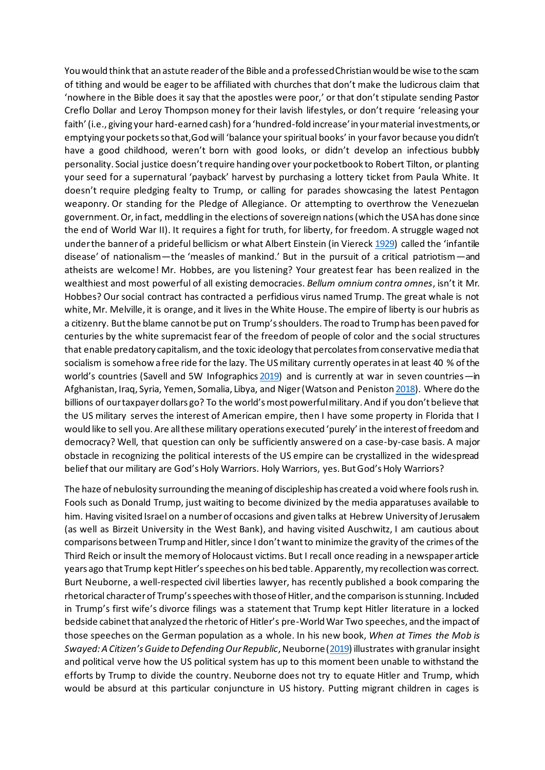You would think that an astute reader of the Bible and a professed Christian would be wise to the scam of tithing and would be eager to be affiliated with churches that don't make the ludicrous claim that 'nowhere in the Bible does it say that the apostles were poor,' or that don't stipulate sending Pastor Creflo Dollar and Leroy Thompson money for their lavish lifestyles, or don't require 'releasing your faith' (i.e., giving your hard-earned cash) for a 'hundred-fold increase' in your material investments, or emptying your pockets so that,God will 'balance your spiritual books' in your favor because you didn't have a good childhood, weren't born with good looks, or didn't develop an infectious bubbly personality. Social justice doesn't require handing over your pocketbook to Robert Tilton, or planting your seed for a supernatural 'payback' harvest by purchasing a lottery ticket from Paula White. It doesn't require pledging fealty to Trump, or calling for parades showcasing the latest Pentagon weaponry. Or standing for the Pledge of Allegiance. Or attempting to overthrow the Venezuelan government. Or, in fact, meddling in the elections of sovereign nations (which the USA has done since the end of World War II). It requires a fight for truth, for liberty, for freedom. A struggle waged not under the banner of a prideful bellicism or what Albert Einstein (in Viereck [1929](https://link.springer.com/article/10.1007/s42438-019-00071-w#CR19)) called the 'infantile disease' of nationalism—the 'measles of mankind.' But in the pursuit of a critical patriotism—and atheists are welcome! Mr. Hobbes, are you listening? Your greatest fear has been realized in the wealthiest and most powerful of all existing democracies. *Bellum omnium contra omnes*, isn't it Mr. Hobbes? Our social contract has contracted a perfidious virus named Trump. The great whale is not white, Mr. Melville, it is orange, and it lives in the White House. The empire of liberty is our hubris as a citizenry. But the blame cannot be put on Trump's shoulders. The road to Trump has been paved for centuries by the white supremacist fear of the freedom of people of color and the social structures that enable predatory capitalism, and the toxic ideology that percolates from conservative media that socialism is somehow a free ride for the lazy. The US military currently operates in at least 40 % of the world's countries (Savell and 5W Infographics [2019\)](https://link.springer.com/article/10.1007/s42438-019-00071-w#CR17) and is currently at war in seven countries—in Afghanistan, Iraq, Syria, Yemen, Somalia, Libya, and Niger (Watson and Peniston [2018\)](https://link.springer.com/article/10.1007/s42438-019-00071-w#CR20). Where do the billions of our taxpayer dollars go? To the world's most powerful military. And if you don't believe that the US military serves the interest of American empire, then I have some property in Florida that I would like to sell you. Are all these military operations executed 'purely' in the interest of freedom and democracy? Well, that question can only be sufficiently answered on a case-by-case basis. A major obstacle in recognizing the political interests of the US empire can be crystallized in the widespread belief that our military are God's Holy Warriors. Holy Warriors, yes. But God's Holy Warriors?

The haze of nebulosity surrounding the meaning of discipleship has created a void where fools rush in. Fools such as Donald Trump, just waiting to become divinized by the media apparatuses available to him. Having visited Israel on a number of occasions and given talks at Hebrew University of Jerusalem (as well as Birzeit University in the West Bank), and having visited Auschwitz, I am cautious about comparisons between Trump and Hitler, since I don't want to minimize the gravity of the crimes of the Third Reich or insult the memory of Holocaust victims. But I recall once reading in a newspaper article years ago that Trump kept Hitler's speeches on his bed table. Apparently, my recollection was correct. Burt Neuborne, a well-respected civil liberties lawyer, has recently published a book comparing the rhetorical character of Trump's speeches with those of Hitler, and the comparison is stunning. Included in Trump's first wife's divorce filings was a statement that Trump kept Hitler literature in a locked bedside cabinet that analyzed the rhetoric of Hitler's pre-World War Two speeches, and the impact of those speeches on the German population as a whole. In his new book, *When at Times the Mob is Swayed: A Citizen's Guide to Defending Our Republic*, Neuborne [\(2019\)](https://link.springer.com/article/10.1007/s42438-019-00071-w#CR13) illustrates with granular insight and political verve how the US political system has up to this moment been unable to withstand the efforts by Trump to divide the country. Neuborne does not try to equate Hitler and Trump, which would be absurd at this particular conjuncture in US history. Putting migrant children in cages is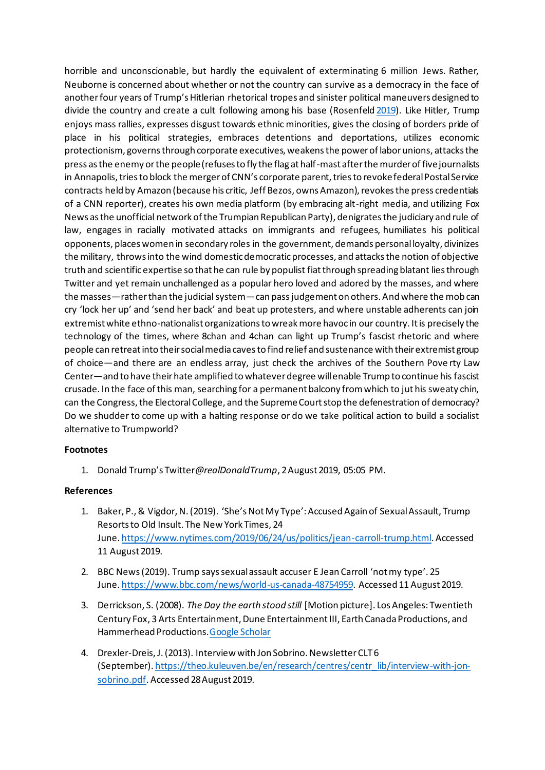horrible and unconscionable, but hardly the equivalent of exterminating 6 million Jews. Rather, Neuborne is concerned about whether or not the country can survive as a democracy in the face of another four years of Trump's Hitlerian rhetorical tropes and sinister political maneuvers designed to divide the country and create a cult following among his base (Rosenfeld [2019\)](https://link.springer.com/article/10.1007/s42438-019-00071-w#CR15). Like Hitler, Trump enjoys mass rallies, expresses disgust towards ethnic minorities, gives the closing of borders pride of place in his political strategies, embraces detentions and deportations, utilizes economic protectionism, governs through corporate executives, weakens the power of labor unions, attacks the press as the enemy or the people (refuses to fly the flag at half-mast after the murder of five journalists in Annapolis, tries to block the merger of CNN's corporate parent, tries to revoke federal Postal Service contracts held by Amazon (because his critic, Jeff Bezos, owns Amazon), revokes the press credentials of a CNN reporter), creates his own media platform (by embracing alt-right media, and utilizing Fox News as the unofficial network of the Trumpian Republican Party), denigrates the judiciary and rule of law, engages in racially motivated attacks on immigrants and refugees, humiliates his political opponents, places women in secondary roles in the government, demands personal loyalty, divinizes the military, throws into the wind domestic democratic processes, and attacks the notion of objective truth and scientific expertise so that he can rule by populist fiat through spreading blatant lies through Twitter and yet remain unchallenged as a popular hero loved and adored by the masses, and where the masses—rather than the judicial system—can pass judgement on others. And where the mob can cry 'lock her up' and 'send her back' and beat up protesters, and where unstable adherents can join extremist white ethno-nationalist organizations to wreak more havoc in our country. It is precisely the technology of the times, where 8chan and 4chan can light up Trump's fascist rhetoric and where people can retreat into their social media caves to find relief and sustenance with their extremist group of choice—and there are an endless array, just check the archives of the Southern Pove rty Law Center—and to have their hate amplified to whatever degree will enable Trump to continue his fascist crusade. In the face of this man, searching for a permanent balcony from which to jut his sweaty chin, can the Congress, the Electoral College, and the Supreme Court stop the defenestration of democracy? Do we shudder to come up with a halting response or do we take political action to build a socialist alternative to Trumpworld?

## **Footnotes**

1. Donald Trump's Twitter*@realDonaldTrump*, 2 August 2019, 05:05 PM.

## **References**

- 1. Baker, P., & Vigdor, N. (2019). 'She's Not My Type': Accused Again of Sexual Assault, Trump Resorts to Old Insult. The New York Times, 24 June. <https://www.nytimes.com/2019/06/24/us/politics/jean-carroll-trump.html>. Accessed 11 August 2019.
- 2. BBC News (2019). Trump says sexual assault accuser E Jean Carroll 'not my type'. 25 June. [https://www.bbc.com/news/world-us-canada-48754959.](https://www.bbc.com/news/world-us-canada-48754959) Accessed 11 August 2019.
- 3. Derrickson, S. (2008). *The Day the earth stood still* [Motion picture]. Los Angeles: Twentieth Century Fox, 3 Arts Entertainment, Dune Entertainment III, Earth Canada Productions, and Hammerhead Production[s.Google Scholar](https://scholar.google.com/scholar?q=Derrickson%2C%20S.%20%282008%29.%20The%20Day%20the%20earth%20stood%20still%20%5BMotion%20picture%5D.%20Los%20Angeles%3A%20Twentieth%20Century%20Fox%2C%203%20Arts%20Entertainment%2C%20Dune%20Entertainment%20III%2C%20Earth%20Canada%20Productions%2C%20and%20Hammerhead%20Productions.)
- 4. Drexler-Dreis, J. (2013). Interview with Jon Sobrino. Newsletter CLT 6 (September). [https://theo.kuleuven.be/en/research/centres/centr\\_lib/interview-with-jon](https://theo.kuleuven.be/en/research/centres/centr_lib/interview-with-jon-sobrino.pdf)[sobrino.pdf.](https://theo.kuleuven.be/en/research/centres/centr_lib/interview-with-jon-sobrino.pdf) Accessed 28 August 2019.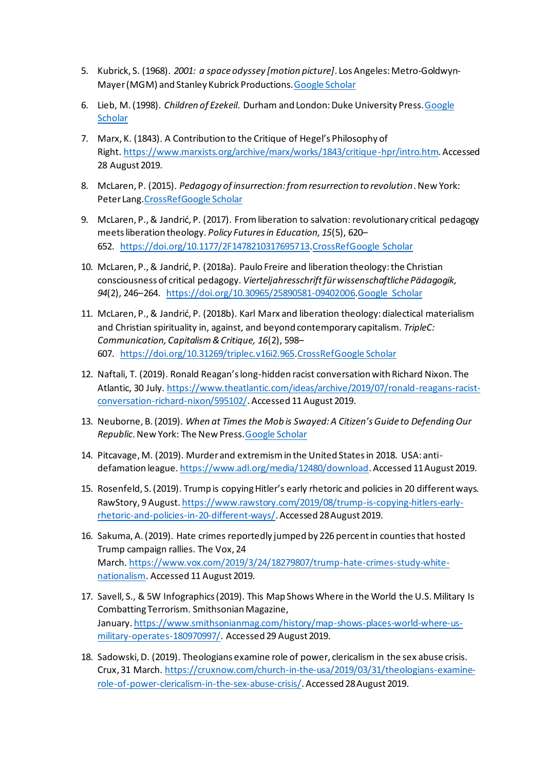- 5. Kubrick, S. (1968). *2001: a space odyssey [motion picture]*. Los Angeles: Metro-Goldwyn-Mayer (MGM) and Stanley Kubrick Productions[.Google Scholar](http://scholar.google.com/scholar_lookup?title=%0A%20%20%20%20%20%20%20%20%20%20%20%20%20%20%20%20%20%20%20%20%20%20%20%20%20%20%202001%3A%20a%20space%20odyssey%20%5Bmotion%20picture%5D&author=S.%20Kubrick&publication_year=1968)
- 6. Lieb, M. (1998). *Children of Ezekeil*. Durham and London: Duke University Pres[s.Google](http://scholar.google.com/scholar_lookup?title=Children%20of%20Ezekeil&author=M.%20Lieb&publication_year=1998)  **[Scholar](http://scholar.google.com/scholar_lookup?title=Children%20of%20Ezekeil&author=M.%20Lieb&publication_year=1998)**
- 7. Marx, K. (1843). A Contribution to the Critique of Hegel's Philosophy of Right. <https://www.marxists.org/archive/marx/works/1843/critique-hpr/intro.htm>. Accessed 28 August 2019.
- 8. McLaren, P. (2015). *Pedagogy of insurrection: from resurrection to revolution*. New York: Peter Lang[.CrossRef](https://doi.org/10.3726/978-1-4539-1567-7)[Google Scholar](http://scholar.google.com/scholar_lookup?title=Pedagogy%20of%20insurrection%3A%20from%20resurrection%20to%20revolution&author=P.%20McLaren&publication_year=2015)
- 9. McLaren, P., & Jandrić, P. (2017). From liberation to salvation: revolutionary critical pedagogy meets liberation theology. *Policy Futures in Education, 15*(5), 620– 652. [https://doi.org/10.1177/2F1478210317695713.](https://doi.org/10.1177/2F1478210317695713)[CrossRef](https://doi.org/10.1177/1478210317695713)[Google Scholar](http://scholar.google.com/scholar_lookup?title=From%20liberation%20to%20salvation%3A%20revolutionary%20critical%20pedagogy%20meets%20liberation%20theology&author=P.%20McLaren&author=P.%20Jandri%C4%87&journal=Policy%20Futures%20in%20Education&volume=15&issue=5&pages=620-652&publication_year=2017&doi=10.1177%2F2F1478210317695713)
- 10. McLaren, P., & Jandrić, P. (2018a). Paulo Freire and liberation theology: the Christian consciousness of critical pedagogy. *Vierteljahresschrift für wissenschaftliche Pädagogik, 94*(2), 246–264. [https://doi.org/10.30965/25890581-09402006.](https://doi.org/10.30965/25890581-09402006)[Google Scholar](http://scholar.google.com/scholar_lookup?title=Paulo%20Freire%20and%20liberation%20theology%3A%20the%20Christian%20consciousness%20of%20critical%20pedagogy&author=P.%20McLaren&author=P.%20Jandri%C4%87&journal=Vierteljahresschrift%20f%C3%BCr%20wissenschaftliche%20P%C3%A4dagogik&volume=94&issue=2&pages=246-264&publication_year=2018&doi=10.30965%2F25890581-09402006)
- 11. McLaren, P., & Jandrić, P. (2018b). Karl Marx and liberation theology: dialectical materialism and Christian spirituality in, against, and beyond contemporary capitalism. *TripleC: Communication, Capitalism & Critique, 16*(2), 598– 607. [https://doi.org/10.31269/triplec.v16i2.965.CrossRef](https://doi.org/10.31269/triplec.v16i2.965)[Google Scholar](http://scholar.google.com/scholar_lookup?title=Karl%20Marx%20and%20liberation%20theology%3A%20dialectical%20materialism%20and%20Christian%20spirituality%20in%2C%20against%2C%20and%20beyond%20contemporary%20capitalism&author=P.%20McLaren&author=P.%20Jandri%C4%87&journal=TripleC%3A%20Communication%2C%20Capitalism%20%26%20Critique&volume=16&issue=2&pages=598-607&publication_year=2018&doi=10.31269%2Ftriplec.v16i2.965)
- 12. Naftali, T. (2019). Ronald Reagan's long-hidden racist conversation with Richard Nixon. The Atlantic, 30 July. [https://www.theatlantic.com/ideas/archive/2019/07/ronald-reagans-racist](https://www.theatlantic.com/ideas/archive/2019/07/ronald-reagans-racist-conversation-richard-nixon/595102/)[conversation-richard-nixon/595102/.](https://www.theatlantic.com/ideas/archive/2019/07/ronald-reagans-racist-conversation-richard-nixon/595102/) Accessed 11 August 2019.
- 13. Neuborne, B. (2019). *When at Times the Mob is Swayed: A Citizen's Guide to Defending Our Republic*. New York: The New Pres[s.Google Scholar](https://scholar.google.com/scholar?q=Neuborne%2C%20B.%20%282019%29.%20When%20at%20Times%20the%20Mob%20is%20Swayed%3A%20A%20Citizen%E2%80%99s%20Guide%20to%20Defending%20Our%20Republic.%20New%20York%3A%20The%20New%20Press.)
- 14. Pitcavage, M. (2019). Murder and extremism in the United States in 2018. USA: antidefamation league. [https://www.adl.org/media/12480/download.](https://www.adl.org/media/12480/download) Accessed 11 August 2019.
- 15. Rosenfeld, S. (2019). Trump is copying Hitler's early rhetoric and policies in 20 different ways. RawStory, 9 August. [https://www.rawstory.com/2019/08/trump-is-copying-hitlers-early](https://www.rawstory.com/2019/08/trump-is-copying-hitlers-early-rhetoric-and-policies-in-20-different-ways/)[rhetoric-and-policies-in-20-different-ways/](https://www.rawstory.com/2019/08/trump-is-copying-hitlers-early-rhetoric-and-policies-in-20-different-ways/). Accessed 28 August 2019.
- 16. Sakuma, A. (2019). Hate crimes reportedly jumped by 226 percent in counties that hosted Trump campaign rallies. The Vox, 24 March. [https://www.vox.com/2019/3/24/18279807/trump-hate-crimes-study-white](https://www.vox.com/2019/3/24/18279807/trump-hate-crimes-study-white-nationalism)[nationalism.](https://www.vox.com/2019/3/24/18279807/trump-hate-crimes-study-white-nationalism) Accessed 11 August 2019.
- 17. Savell, S., & 5W Infographics (2019). This Map Shows Where in the World the U.S. Military Is Combatting Terrorism. Smithsonian Magazine, January. [https://www.smithsonianmag.com/history/map-shows-places-world-where-us](https://www.smithsonianmag.com/history/map-shows-places-world-where-us-military-operates-180970997/)[military-operates-180970997/.](https://www.smithsonianmag.com/history/map-shows-places-world-where-us-military-operates-180970997/) Accessed 29 August 2019.
- 18. Sadowski, D. (2019). Theologians examine role of power, clericalism in the sex abuse crisis. Crux, 31 March. [https://cruxnow.com/church-in-the-usa/2019/03/31/theologians-examine](https://cruxnow.com/church-in-the-usa/2019/03/31/theologians-examine-role-of-power-clericalism-in-the-sex-abuse-crisis/)[role-of-power-clericalism-in-the-sex-abuse-crisis/](https://cruxnow.com/church-in-the-usa/2019/03/31/theologians-examine-role-of-power-clericalism-in-the-sex-abuse-crisis/). Accessed 28 August 2019.